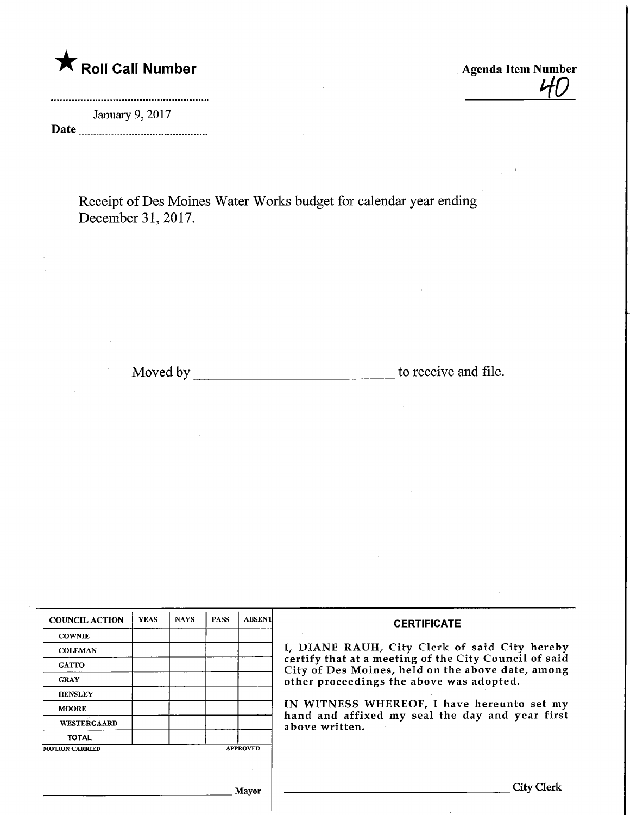# **The Solid Call Number Agenda Item Number** Agenda Item Number

<u>40</u>

January 9,2017 Date

Receipt of Des Moines Water Works budget for calendar year ending December 31,2017.

Mloved by to receive and file.

| <b>COUNCIL ACTION</b> | <b>YEAS</b> | <b>NAYS</b> | <b>PASS</b> | <b>ABSENT</b>   | <b>CERTIFICATE</b>                                                                                         |
|-----------------------|-------------|-------------|-------------|-----------------|------------------------------------------------------------------------------------------------------------|
| <b>COWNIE</b>         |             |             |             |                 |                                                                                                            |
| <b>COLEMAN</b>        |             |             |             |                 | I, DIANE RAUH, City Clerk of said City hereby                                                              |
| <b>GATTO</b>          |             |             |             |                 | certify that at a meeting of the City Council of said<br>City of Des Moines, held on the above date, among |
| <b>GRAY</b>           |             |             |             |                 | other proceedings the above was adopted.                                                                   |
| <b>HENSLEY</b>        |             |             |             |                 |                                                                                                            |
| <b>MOORE</b>          |             |             |             |                 | IN WITNESS WHEREOF, I have hereunto set my                                                                 |
| <b>WESTERGAARD</b>    |             |             |             |                 | hand and affixed my seal the day and year first<br>above written.                                          |
| <b>TOTAL</b>          |             |             |             |                 |                                                                                                            |
| <b>MOTION CARRIED</b> |             |             |             | <b>APPROVED</b> |                                                                                                            |
|                       |             |             |             |                 |                                                                                                            |
|                       |             |             |             |                 |                                                                                                            |
|                       |             |             |             | Mayor           | City Clerk                                                                                                 |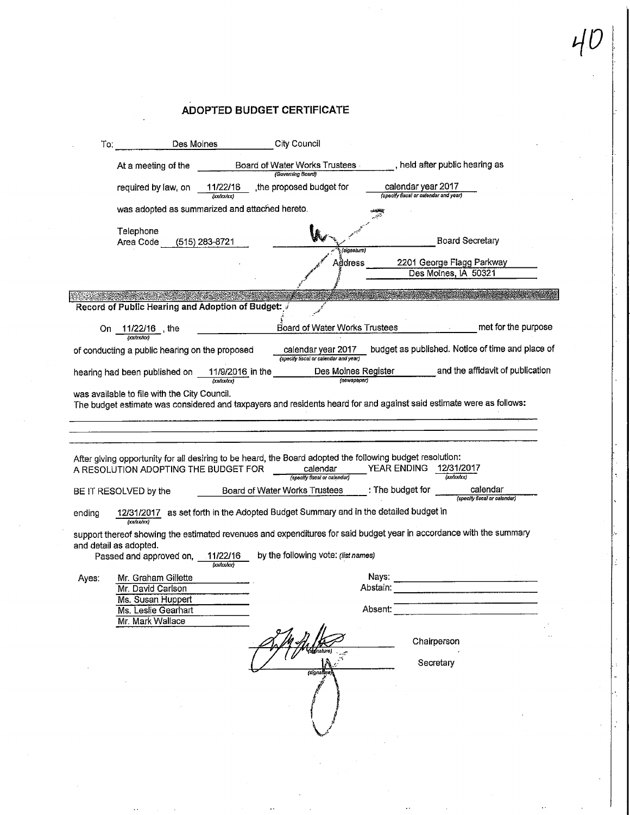### ADOPTED BUDGET CERTIFICATE

| To:    |                                                                 | Des Moines             | City Council                                                                                                                                                                           |                                                                                                                     |
|--------|-----------------------------------------------------------------|------------------------|----------------------------------------------------------------------------------------------------------------------------------------------------------------------------------------|---------------------------------------------------------------------------------------------------------------------|
|        | At a meeting of the                                             |                        | Board of Water Works Trustees<br>(Governing Board)                                                                                                                                     | , held after public hearing as                                                                                      |
|        | required by law, on                                             | 11/22/16<br>(xxh xh x) | the proposed budget for                                                                                                                                                                | calendar year 2017<br>(specify fiscal or calendar and year)                                                         |
|        | was adopted as summarized and attached hereto.                  |                        |                                                                                                                                                                                        |                                                                                                                     |
|        | Telephone<br>Area Code                                          | (515) 283-8721         | (signature)                                                                                                                                                                            | <b>Board Secretary</b>                                                                                              |
|        |                                                                 |                        | Address                                                                                                                                                                                | 2201 George Flagg Parkway<br>Des Moines, IA 50321                                                                   |
|        | Record of Public Hearing and Adoption of Budget:                |                        |                                                                                                                                                                                        |                                                                                                                     |
| On.    | 11/22/16 , the<br>(xx/xx/xx)                                    |                        | Board of Water Works Trustees                                                                                                                                                          | met for the purpose                                                                                                 |
|        | of conducting a public hearing on the proposed                  |                        | calendar year 2017<br>(specify fiscal or calendar and year)                                                                                                                            | budget as published. Notice of time and place of                                                                    |
|        | hearing had been published on                                   |                        | Des Moines Register<br>11/9/2016 in the<br>(newspaper)                                                                                                                                 | and the affidavit of publication                                                                                    |
|        | was available to file with the City Council.                    |                        |                                                                                                                                                                                        | The budget estimate was considered and taxpayers and residents heard for and against said estimate were as follows: |
|        |                                                                 |                        |                                                                                                                                                                                        |                                                                                                                     |
|        | A RESOLUTION ADOPTING THE BUDGET FOR<br>BE IT RESOLVED by the   |                        | After giving opportunity for all desiring to be heard, the Board adopted the following budget resolution:<br>calendar<br>(specify fiscal or calendar)<br>Board of Water Works Trustees | YEAR ENDING 12/31/2017<br>(xx/xx/xx)<br>calendar<br>: The budget for<br>(specify fiscal or calendar)                |
| ending |                                                                 |                        | 12/31/2017 as set forth in the Adopted Budget Summary and in the detailed budget in                                                                                                    |                                                                                                                     |
|        | (xx/xx/xx)<br>and detail as adopted.<br>Passed and approved on, | 11/22/16<br>(xxtxxhxx) | by the following vote: (list names)                                                                                                                                                    | support thereof showing the estimated revenues and expenditures for said budget year in accordance with the summary |
| Aves:  | Mr. Graham Gillette                                             |                        |                                                                                                                                                                                        | Nays:                                                                                                               |
|        | Mr. David Carlson<br>Ms. Susan Huppert<br>Ms. Leslie Gearhart   |                        |                                                                                                                                                                                        | Abstain:<br>Absent:                                                                                                 |
|        | Mr. Mark Wallace                                                |                        |                                                                                                                                                                                        |                                                                                                                     |
|        |                                                                 |                        |                                                                                                                                                                                        | Chairperson                                                                                                         |
|        |                                                                 |                        | (signalbu                                                                                                                                                                              | Secretary                                                                                                           |
|        |                                                                 |                        |                                                                                                                                                                                        |                                                                                                                     |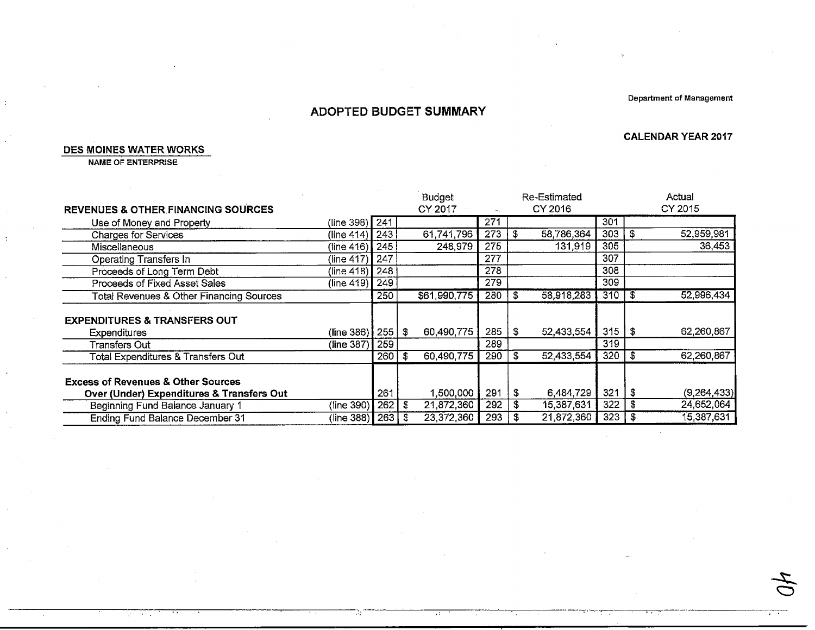Department of Management

CALENDAR YEAR 2017

 $\sim$ 

÷.,

### ADOPTED BUDGET SUMMARY

#### DES MOINES WATER WORKS

 $\ddot{\phantom{a}}$ 

NAME OF ENTERPRiSE

 $2\pi$  ,  $2\pi$  ,  $4\pi$ 

|                                                     |                      |     |     | <b>Budget</b> |                  |     | <b>Re-Estimated</b> |     |      | Actual        |
|-----------------------------------------------------|----------------------|-----|-----|---------------|------------------|-----|---------------------|-----|------|---------------|
| <b>REVENUES &amp; OTHER FINANCING SOURCES</b>       |                      |     |     | CY 2017       |                  |     | CY 2016             |     |      | CY 2015       |
| Use of Money and Property                           | (line 398) 241       |     |     |               | $\overline{271}$ |     |                     | 301 |      |               |
| <b>Charges for Services</b>                         | (line 414)           | 243 |     | 61,741,796    | 273              | \$  | 58,786,364          | 303 | £.   | 52,959,981    |
| <b>Miscellaneous</b>                                | $(\text{line } 416)$ | 245 |     | 248,979       | 275              |     | 131,919             | 305 |      | 36,453        |
| Operating Transfers In                              | (line 417)           | 247 |     |               | 277              |     |                     | 307 |      |               |
| Proceeds of Long Term Debt                          | (line 418)           | 248 |     |               | 278              |     |                     | 308 |      |               |
| Proceeds of Fixed Asset Sales                       | (line 419)           | 249 |     |               | 279              |     |                     | 309 |      |               |
| <b>Total Revenues &amp; Other Financing Sources</b> |                      | 250 |     | \$61,990,775  | 280              | S   | 58,918,283          | 310 | -5   | 52,996,434    |
| <b>EXPENDITURES &amp; TRANSFERS OUT</b>             |                      |     |     |               |                  |     |                     |     |      |               |
|                                                     | (line 386)           | 255 | S.  | 60,490,775    | 285              | \$  | 52,433,554          | 315 | l \$ | 62,260,867    |
| Expenditures                                        | (line 387)           | 259 |     |               | 289              |     |                     | 319 |      |               |
| <b>Transfers Out</b>                                |                      |     |     |               |                  |     |                     |     |      |               |
| <b>Total Expenditures &amp; Transfers Out</b>       |                      | 260 | S   | 60,490,775    | 290              | S   | 52,433,554          | 320 | £    | 62,260,867    |
| <b>Excess of Revenues &amp; Other Sources</b>       |                      |     |     |               |                  |     |                     |     |      |               |
| Over (Under) Expenditures & Transfers Out           |                      | 261 |     | 1,500,000     | 291              | \$  | 6,484,729           | 321 | \$   | (9, 264, 433) |
| Beginning Fund Balance January 1                    | (line 390)           | 262 | S   | 21,872,360    | 292              | \$  | 15,387,631          | 322 | s    | 24,652,064    |
| Ending Fund Balance December 31                     | (line 388) <b> </b>  | 263 | - 3 | 23,372,360    | $293 \mid$       | -\$ | 21,872,360          | 323 | - 3  | 15,387,631    |

и,

 $\mathcal{A}^{\mathcal{L}}$ 

 $\tau$  $\bigcirc$ 

77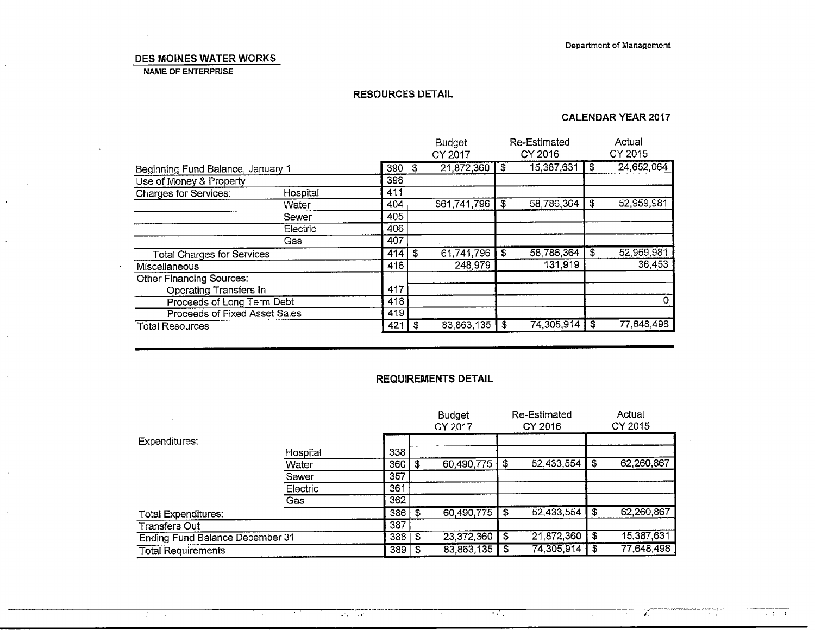#### DES MOINES WATER WORKS

NAME OF ENTERPRISE

 $\mathbf{r}$ 

#### RESOURCES DETAIL

#### CALENDAR YEAR 2017

|                                      |          |     |      | <b>Budget</b><br>CY 2017 |    | Re-Estimated<br>CY 2016 |    | Actual<br>CY 2015 |
|--------------------------------------|----------|-----|------|--------------------------|----|-------------------------|----|-------------------|
| Beginning Fund Balance, January 1    |          | 390 | £.   | $21,872,360$ \$          |    | 15,387,631              | £. | 24,652,064        |
| Use of Money & Property              |          | 398 |      |                          |    |                         |    |                   |
| Charges for Services:                | Hospital | 411 |      |                          |    |                         |    |                   |
|                                      | Water    | 404 |      | \$61,741,796             | \$ | 58,786,364              | \$ | 52,959,981        |
|                                      | Sewer    | 405 |      |                          |    |                         |    |                   |
|                                      | Electric | 406 |      |                          |    |                         |    |                   |
|                                      | Gas      | 407 |      |                          |    |                         |    |                   |
| <b>Total Charges for Services</b>    |          | 414 | -\$  | 61,741,796               | \$ | 58,786,364              | \$ | 52,959,981        |
| Miscellaneous                        |          | 416 |      | 248,979                  |    | 131,919                 |    | 36,453            |
| <b>Other Financing Sources:</b>      |          |     |      |                          |    |                         |    |                   |
| <b>Operating Transfers In</b>        |          | 417 |      |                          |    |                         |    |                   |
| Proceeds of Long Term Debt           |          | 418 |      |                          |    |                         |    |                   |
| <b>Proceeds of Fixed Asset Sales</b> |          | 419 |      |                          |    |                         |    |                   |
| <b>Total Resources</b>               |          | 421 | - \$ | 83,863,135               | £  | 74,305,914              |    | 77,648,498        |

#### **REQUIREMENTS DETAIL**

 $\mathcal{O}(\mathcal{O}_\mathcal{O})$  . The  $\mathcal{O}(\mathcal{O}_\mathcal{O})$ 

 $\sim 10^{-11}$ 

 $\mathcal{A}(\mathcal{F})$  and  $\mathcal{A}(\mathcal{F})$  .

|                                 |          |     |   | <b>Budget</b><br>CY 2017 |      | Re-Estimated<br>CY 2016 |    | Actual<br>CY 2015 |
|---------------------------------|----------|-----|---|--------------------------|------|-------------------------|----|-------------------|
| Expenditures:                   |          |     |   |                          |      |                         |    |                   |
|                                 | Hospital | 338 |   |                          |      |                         |    |                   |
|                                 | Water    | 360 |   | 60,490,775               |      | 52,433,554              | S  | 62,260,867        |
|                                 | Sewer    | 357 |   |                          |      |                         |    |                   |
|                                 | Electric | 361 |   |                          |      |                         |    |                   |
|                                 | Gas      | 362 |   |                          |      |                         |    |                   |
| <b>Total Expenditures:</b>      |          | 386 | S | 60,490,775               | S    | 52,433,554              | \$ | 62,260,867        |
| Transfers Out                   |          | 387 |   |                          |      |                         |    |                   |
| Ending Fund Balance December 31 |          | 388 | S | 23,372,360               | - \$ | 21,872,360              | \$ | 15,387,631        |
| <b>Total Requirements</b>       |          | 389 |   | 83,863,135               |      | 74,305,914              | \$ | 77,648,498        |

 $\sim 10^{11}$  m  $^{-1}$ 

 $\mathcal{L}(\mathcal{L}^{\mathcal{L}})$  and  $\mathcal{L}^{\mathcal{L}}$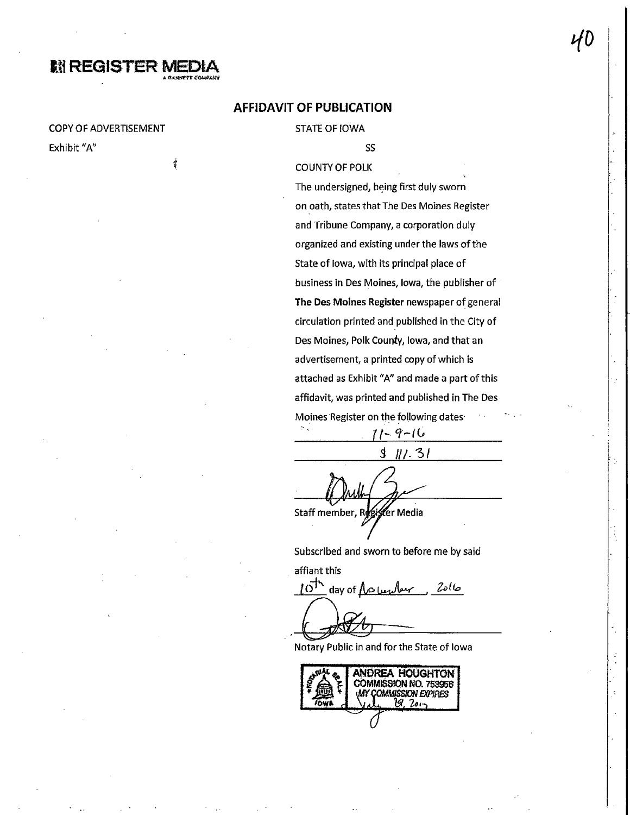## **MI REGISTER MED**

ġ

#### **COPY OF ADVERTISEMENT**

Exhibit "A"

#### **AFFIDAVIT OF PUBLICATION**

#### **STATE OF IOWA**

SS

#### **COUNTY OF POLK**

The undersigned, being first duly sworn on oath, states that The Des Moines Register and Tribune Company, a corporation duly organized and existing under the laws of the State of lowa, with its principal place of business in Des Moines, Iowa, the publisher of The Des Moines Register newspaper of general circulation printed and published in the City of Des Moines, Polk County, Iowa, and that an advertisement, a printed copy of which is attached as Exhibit "A" and made a part of this affidavit, was printed and published in The Des Moines Register on the following dates  $\mathbb{R}^n$  .

 $3$  11/ 31

11-9-16

Staff member, Re er Media

Subscribed and sworn to before me by said

affiant this

day of <u>Noumber</u> 2016  $10^{17}$ 

Notary Public in and for the State of Iowa